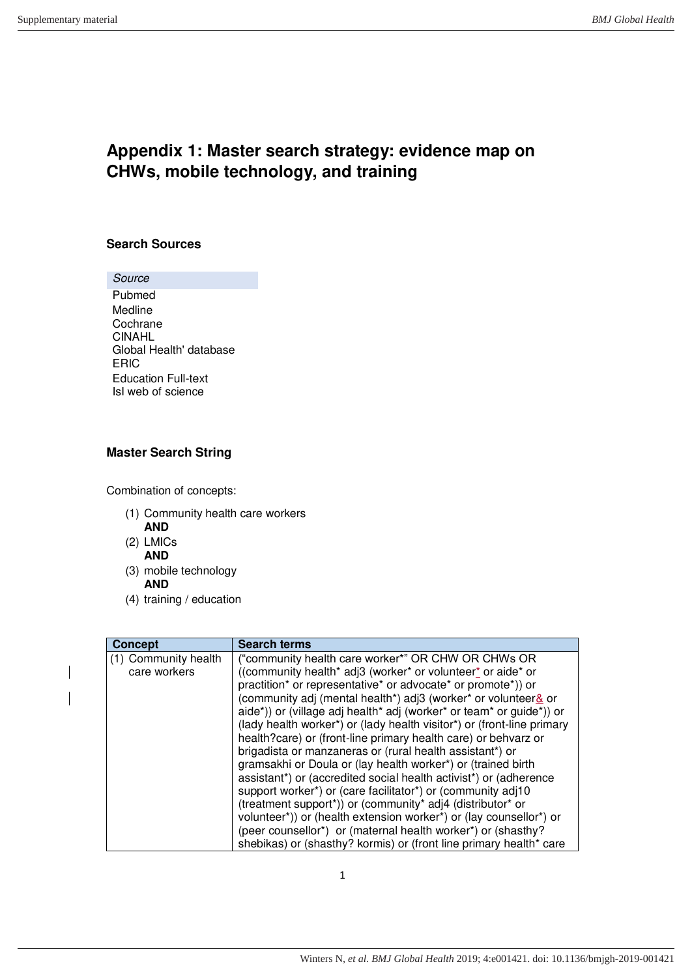## **Appendix 1: Master search strategy: evidence map on CHWs, mobile technology, and training**

## **Search Sources**

Source

Pubmed Medline **Cochrane** CINAHL Global Health' database ERIC Education Full-text IsI web of science

## **Master Search String**

Combination of concepts:

- (1) Community health care workers **AND**
- (2) LMICs
	- **AND**
- (3) mobile technology **AND**
- (4) training / education

| <b>Concept</b>                       | <b>Search terms</b>                                                                                                                                                                                                                                                                                                                                                                                                                                                                                                                                                                                                                                                                                                                                                                                                                                                                                                                                                                                               |
|--------------------------------------|-------------------------------------------------------------------------------------------------------------------------------------------------------------------------------------------------------------------------------------------------------------------------------------------------------------------------------------------------------------------------------------------------------------------------------------------------------------------------------------------------------------------------------------------------------------------------------------------------------------------------------------------------------------------------------------------------------------------------------------------------------------------------------------------------------------------------------------------------------------------------------------------------------------------------------------------------------------------------------------------------------------------|
| (1) Community health<br>care workers | ("community health care worker*" OR CHW OR CHWs OR<br>((community health* adj3 (worker* or volunteer* or aide* or<br>practition* or representative* or advocate* or promote*)) or<br>(community adj (mental health*) adj3 (worker* or volunteer& or<br>aide*)) or (village adj health* adj (worker* or team* or guide*)) or<br>(lady health worker*) or (lady health visitor*) or (front-line primary<br>health?care) or (front-line primary health care) or behvarz or<br>brigadista or manzaneras or (rural health assistant*) or<br>gramsakhi or Doula or (lay health worker*) or (trained birth<br>assistant*) or (accredited social health activist*) or (adherence<br>support worker*) or (care facilitator*) or (community adj10<br>(treatment support*)) or (community* adj4 (distributor* or<br>volunteer*)) or (health extension worker*) or (lay counsellor*) or<br>(peer counsellor*) or (maternal health worker*) or (shasthy?<br>shebikas) or (shasthy? kormis) or (front line primary health* care |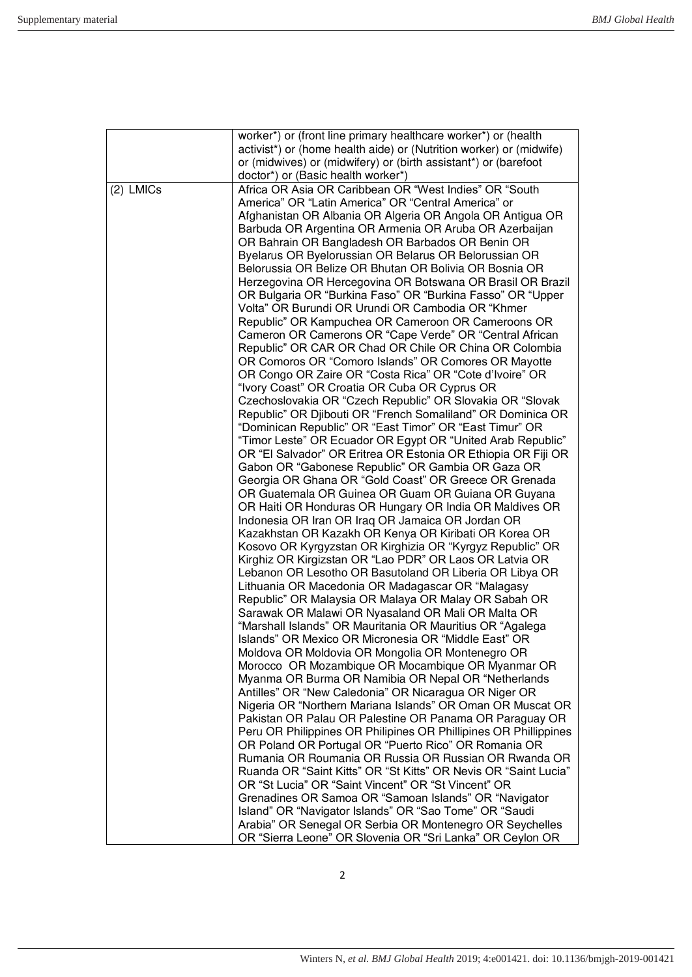|             | worker*) or (front line primary healthcare worker*) or (health      |
|-------------|---------------------------------------------------------------------|
|             | activist*) or (home health aide) or (Nutrition worker) or (midwife) |
|             | or (midwives) or (midwifery) or (birth assistant*) or (barefoot     |
|             | doctor*) or (Basic health worker*)                                  |
| $(2)$ LMICs | Africa OR Asia OR Caribbean OR "West Indies" OR "South              |
|             | America" OR "Latin America" OR "Central America" or                 |
|             | Afghanistan OR Albania OR Algeria OR Angola OR Antigua OR           |
|             |                                                                     |
|             | Barbuda OR Argentina OR Armenia OR Aruba OR Azerbaijan              |
|             | OR Bahrain OR Bangladesh OR Barbados OR Benin OR                    |
|             | Byelarus OR Byelorussian OR Belarus OR Belorussian OR               |
|             | Belorussia OR Belize OR Bhutan OR Bolivia OR Bosnia OR              |
|             | Herzegovina OR Hercegovina OR Botswana OR Brasil OR Brazil          |
|             | OR Bulgaria OR "Burkina Faso" OR "Burkina Fasso" OR "Upper          |
|             | Volta" OR Burundi OR Urundi OR Cambodia OR "Khmer                   |
|             | Republic" OR Kampuchea OR Cameroon OR Cameroons OR                  |
|             | Cameron OR Camerons OR "Cape Verde" OR "Central African             |
|             | Republic" OR CAR OR Chad OR Chile OR China OR Colombia              |
|             | OR Comoros OR "Comoro Islands" OR Comores OR Mayotte                |
|             | OR Congo OR Zaire OR "Costa Rica" OR "Cote d'Ivoire" OR             |
|             | "Ivory Coast" OR Croatia OR Cuba OR Cyprus OR                       |
|             | Czechoslovakia OR "Czech Republic" OR Slovakia OR "Slovak           |
|             | Republic" OR Djibouti OR "French Somaliland" OR Dominica OR         |
|             | "Dominican Republic" OR "East Timor" OR "East Timur" OR             |
|             | "Timor Leste" OR Ecuador OR Egypt OR "United Arab Republic"         |
|             | OR "El Salvador" OR Eritrea OR Estonia OR Ethiopia OR Fiji OR       |
|             | Gabon OR "Gabonese Republic" OR Gambia OR Gaza OR                   |
|             | Georgia OR Ghana OR "Gold Coast" OR Greece OR Grenada               |
|             | OR Guatemala OR Guinea OR Guam OR Guiana OR Guyana                  |
|             | OR Haiti OR Honduras OR Hungary OR India OR Maldives OR             |
|             | Indonesia OR Iran OR Iraq OR Jamaica OR Jordan OR                   |
|             | Kazakhstan OR Kazakh OR Kenya OR Kiribati OR Korea OR               |
|             | Kosovo OR Kyrgyzstan OR Kirghizia OR "Kyrgyz Republic" OR           |
|             | Kirghiz OR Kirgizstan OR "Lao PDR" OR Laos OR Latvia OR             |
|             | Lebanon OR Lesotho OR Basutoland OR Liberia OR Libya OR             |
|             | Lithuania OR Macedonia OR Madagascar OR "Malagasy                   |
|             | Republic" OR Malaysia OR Malaya OR Malay OR Sabah OR                |
|             | Sarawak OR Malawi OR Nyasaland OR Mali OR Malta OR                  |
|             | "Marshall Islands" OR Mauritania OR Mauritius OR "Agalega           |
|             | Islands" OR Mexico OR Micronesia OR "Middle East" OR                |
|             | Moldova OR Moldovia OR Mongolia OR Montenegro OR                    |
|             | Morocco OR Mozambique OR Mocambique OR Myanmar OR                   |
|             | Myanma OR Burma OR Namibia OR Nepal OR "Netherlands                 |
|             | Antilles" OR "New Caledonia" OR Nicaragua OR Niger OR               |
|             | Nigeria OR "Northern Mariana Islands" OR Oman OR Muscat OR          |
|             |                                                                     |
|             | Pakistan OR Palau OR Palestine OR Panama OR Paraguay OR             |
|             | Peru OR Philippines OR Philipines OR Phillipines OR Phillippines    |
|             | OR Poland OR Portugal OR "Puerto Rico" OR Romania OR                |
|             | Rumania OR Roumania OR Russia OR Russian OR Rwanda OR               |
|             | Ruanda OR "Saint Kitts" OR "St Kitts" OR Nevis OR "Saint Lucia"     |
|             | OR "St Lucia" OR "Saint Vincent" OR "St Vincent" OR                 |
|             | Grenadines OR Samoa OR "Samoan Islands" OR "Navigator               |
|             | Island" OR "Navigator Islands" OR "Sao Tome" OR "Saudi              |
|             | Arabia" OR Senegal OR Serbia OR Montenegro OR Seychelles            |
|             | OR "Sierra Leone" OR Slovenia OR "Sri Lanka" OR Ceylon OR           |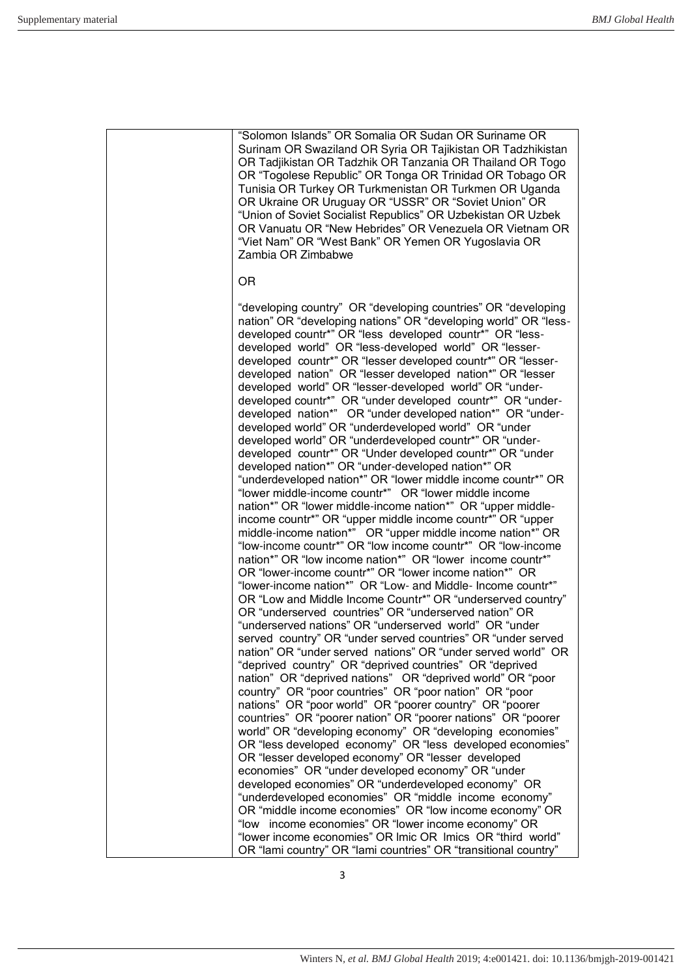| "Solomon Islands" OR Somalia OR Sudan OR Suriname OR<br>Surinam OR Swaziland OR Syria OR Tajikistan OR Tadzhikistan<br>OR Tadjikistan OR Tadzhik OR Tanzania OR Thailand OR Togo<br>OR "Togolese Republic" OR Tonga OR Trinidad OR Tobago OR<br>Tunisia OR Turkey OR Turkmenistan OR Turkmen OR Uganda<br>OR Ukraine OR Uruguay OR "USSR" OR "Soviet Union" OR<br>"Union of Soviet Socialist Republics" OR Uzbekistan OR Uzbek<br>OR Vanuatu OR "New Hebrides" OR Venezuela OR Vietnam OR<br>"Viet Nam" OR "West Bank" OR Yemen OR Yugoslavia OR<br>Zambia OR Zimbabwe                                                                                                                                                                                                                                                                                                                                                                                                                                                                                                                                                                                                                                                                                                                                                                                                                                                                                                                                                                                                                                                                                                                                                                                                                                                                                                                                                                                                                                                                                                                                                                                                                                                                                                                                                                                                                                                                                                                                                                                          |
|-----------------------------------------------------------------------------------------------------------------------------------------------------------------------------------------------------------------------------------------------------------------------------------------------------------------------------------------------------------------------------------------------------------------------------------------------------------------------------------------------------------------------------------------------------------------------------------------------------------------------------------------------------------------------------------------------------------------------------------------------------------------------------------------------------------------------------------------------------------------------------------------------------------------------------------------------------------------------------------------------------------------------------------------------------------------------------------------------------------------------------------------------------------------------------------------------------------------------------------------------------------------------------------------------------------------------------------------------------------------------------------------------------------------------------------------------------------------------------------------------------------------------------------------------------------------------------------------------------------------------------------------------------------------------------------------------------------------------------------------------------------------------------------------------------------------------------------------------------------------------------------------------------------------------------------------------------------------------------------------------------------------------------------------------------------------------------------------------------------------------------------------------------------------------------------------------------------------------------------------------------------------------------------------------------------------------------------------------------------------------------------------------------------------------------------------------------------------------------------------------------------------------------------------------------------------|
| <b>OR</b>                                                                                                                                                                                                                                                                                                                                                                                                                                                                                                                                                                                                                                                                                                                                                                                                                                                                                                                                                                                                                                                                                                                                                                                                                                                                                                                                                                                                                                                                                                                                                                                                                                                                                                                                                                                                                                                                                                                                                                                                                                                                                                                                                                                                                                                                                                                                                                                                                                                                                                                                                       |
| "developing country" OR "developing countries" OR "developing<br>nation" OR "developing nations" OR "developing world" OR "less-<br>developed countr*" OR "less developed countr*" OR "less-<br>developed world" OR "less-developed world" OR "lesser-<br>developed countr*" OR "lesser developed countr*" OR "lesser-<br>developed nation" OR "lesser developed nation*" OR "lesser<br>developed world" OR "lesser-developed world" OR "under-<br>developed countr*" OR "under developed countr*" OR "under-<br>developed nation*" OR "under developed nation*" OR "under-<br>developed world" OR "underdeveloped world" OR "under<br>developed world" OR "underdeveloped countr*" OR "under-<br>developed countr*" OR "Under developed countr*" OR "under<br>developed nation*" OR "under-developed nation*" OR<br>"underdeveloped nation*" OR "lower middle income countr*" OR<br>"lower middle-income countr*" OR "lower middle income<br>nation*" OR "lower middle-income nation*" OR "upper middle-<br>income countr*" OR "upper middle income countr*" OR "upper<br>middle-income nation*" OR "upper middle income nation*" OR<br>"low-income countr*" OR "low income countr*" OR "low-income<br>nation*" OR "low income nation*" OR "lower income countr*"<br>OR "lower-income countr*" OR "lower income nation*" OR<br>"lower-income nation*" OR "Low- and Middle- Income countr*"<br>OR "Low and Middle Income Countr*" OR "underserved country"<br>OR "underserved countries" OR "underserved nation" OR<br>"underserved nations" OR "underserved world" OR "under<br>served country" OR "under served countries" OR "under served<br>nation" OR "under served nations" OR "under served world" OR<br>"deprived country" OR "deprived countries" OR "deprived<br>nation" OR "deprived nations" OR "deprived world" OR "poor<br>country" OR "poor countries" OR "poor nation" OR "poor<br>nations" OR "poor world" OR "poorer country" OR "poorer<br>countries" OR "poorer nation" OR "poorer nations" OR "poorer<br>world" OR "developing economy" OR "developing economies"<br>OR "less developed economy" OR "less developed economies"<br>OR "lesser developed economy" OR "lesser developed<br>economies" OR "under developed economy" OR "under<br>developed economies" OR "underdeveloped economy" OR<br>"underdeveloped economies" OR "middle income economy"<br>OR "middle income economies" OR "low income economy" OR<br>"low income economies" OR "lower income economy" OR<br>"lower income economies" OR Imic OR Imics OR "third world" |
| OR "lami country" OR "lami countries" OR "transitional country"                                                                                                                                                                                                                                                                                                                                                                                                                                                                                                                                                                                                                                                                                                                                                                                                                                                                                                                                                                                                                                                                                                                                                                                                                                                                                                                                                                                                                                                                                                                                                                                                                                                                                                                                                                                                                                                                                                                                                                                                                                                                                                                                                                                                                                                                                                                                                                                                                                                                                                 |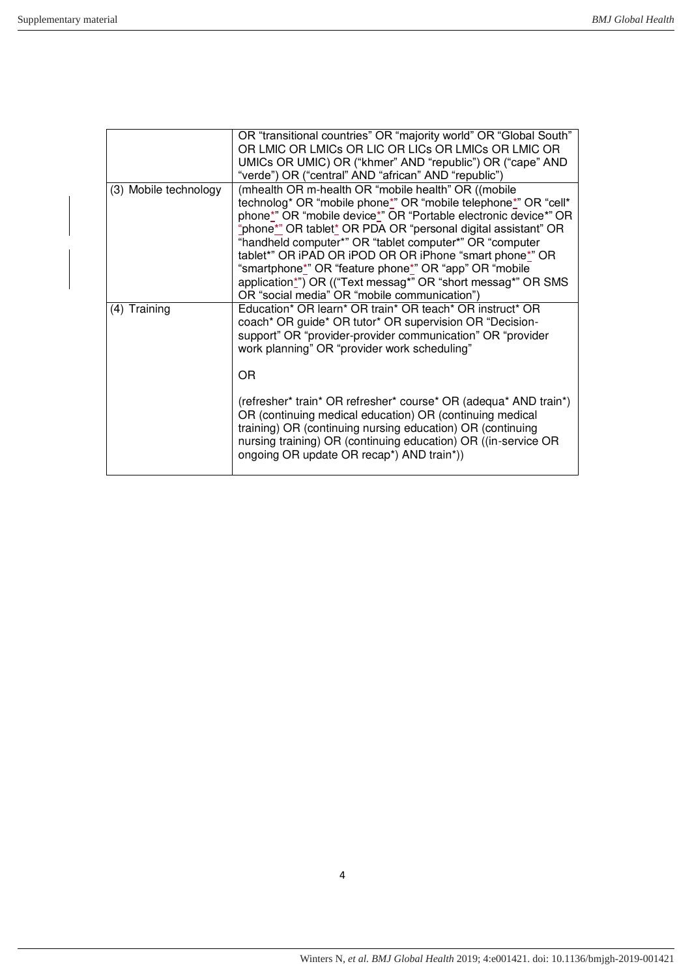|                       | OR "transitional countries" OR "majority world" OR "Global South"<br>OR LMIC OR LMICs OR LIC OR LICs OR LMICs OR LMIC OR<br>UMICs OR UMIC) OR ("khmer" AND "republic") OR ("cape" AND<br>"verde") OR ("central" AND "african" AND "republic")                                                                                                                                                                                                                                                                                                            |
|-----------------------|----------------------------------------------------------------------------------------------------------------------------------------------------------------------------------------------------------------------------------------------------------------------------------------------------------------------------------------------------------------------------------------------------------------------------------------------------------------------------------------------------------------------------------------------------------|
| (3) Mobile technology | (mhealth OR m-health OR "mobile health" OR ((mobile<br>technolog* OR "mobile phone*" OR "mobile telephone*" OR "cell*<br>phone*" OR "mobile device*" OR "Portable electronic device*" OR<br>"phone*" OR tablet* OR PDA OR "personal digital assistant" OR<br>"handheld computer*" OR "tablet computer*" OR "computer<br>tablet*" OR iPAD OR iPOD OR OR iPhone "smart phone*" OR<br>"smartphone*" OR "feature phone*" OR "app" OR "mobile<br>application*") OR (("Text messag*" OR "short messag*" OR SMS<br>OR "social media" OR "mobile communication") |
| (4) Training          | Education* OR learn* OR train* OR teach* OR instruct* OR<br>coach* OR guide* OR tutor* OR supervision OR "Decision-<br>support" OR "provider-provider communication" OR "provider<br>work planning" OR "provider work scheduling"<br>OR                                                                                                                                                                                                                                                                                                                  |
|                       | (refresher* train* OR refresher* course* OR (adequa* AND train*)<br>OR (continuing medical education) OR (continuing medical<br>training) OR (continuing nursing education) OR (continuing<br>nursing training) OR (continuing education) OR ((in-service OR<br>ongoing OR update OR recap*) AND train*))                                                                                                                                                                                                                                                |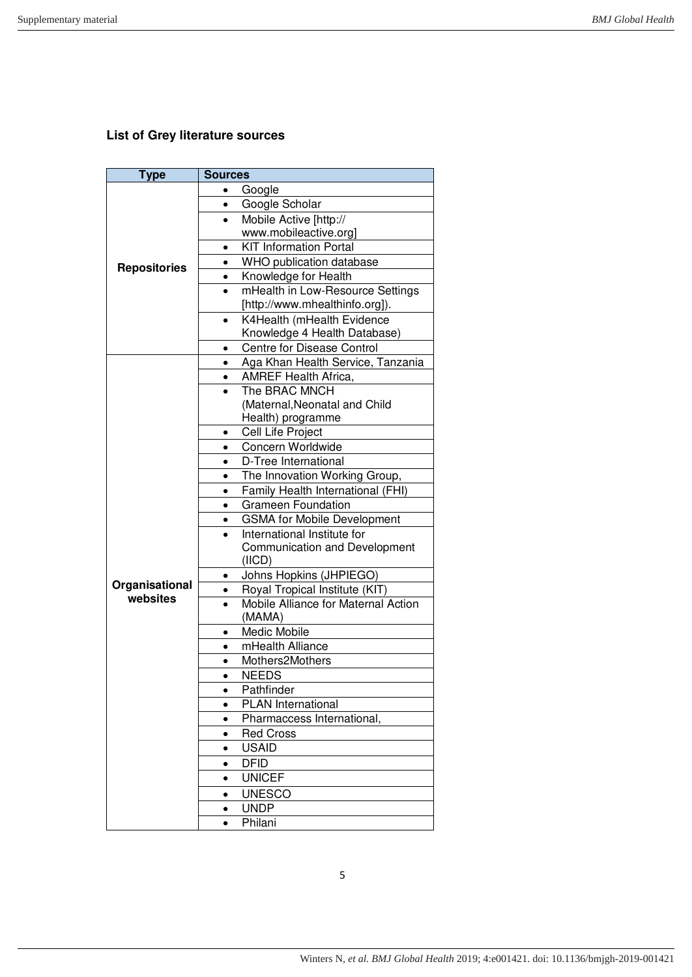## **List of Grey literature sources**

| Type                | <b>Sources</b>                                                             |
|---------------------|----------------------------------------------------------------------------|
|                     | Google                                                                     |
|                     | Google Scholar<br>$\bullet$                                                |
|                     | Mobile Active [http://                                                     |
|                     | www.mobileactive.org]                                                      |
| <b>Repositories</b> | <b>KIT Information Portal</b><br>$\bullet$                                 |
|                     | WHO publication database<br>$\bullet$                                      |
|                     | Knowledge for Health<br>$\bullet$                                          |
|                     | mHealth in Low-Resource Settings                                           |
|                     | [http://www.mhealthinfo.org]).                                             |
|                     | K4Health (mHealth Evidence                                                 |
|                     | Knowledge 4 Health Database)                                               |
|                     | Centre for Disease Control<br>٠                                            |
|                     | Aga Khan Health Service, Tanzania<br>$\bullet$                             |
|                     | <b>AMREF Health Africa,</b><br>$\bullet$                                   |
|                     | The BRAC MNCH                                                              |
|                     | (Maternal, Neonatal and Child                                              |
|                     | Health) programme                                                          |
|                     | Cell Life Project<br>$\bullet$                                             |
|                     | Concern Worldwide<br>$\bullet$                                             |
|                     | D-Tree International<br>$\bullet$                                          |
|                     | The Innovation Working Group,<br>$\bullet$                                 |
|                     | Family Health International (FHI)                                          |
|                     | <b>Grameen Foundation</b><br>$\bullet$                                     |
|                     | <b>GSMA for Mobile Development</b><br>$\bullet$                            |
|                     | International Institute for                                                |
|                     | Communication and Development                                              |
|                     | (IICD)                                                                     |
| Organisational      | Johns Hopkins (JHPIEGO)                                                    |
| websites            | Royal Tropical Institute (KIT)<br>٠<br>Mobile Alliance for Maternal Action |
|                     | (MAMA)                                                                     |
|                     | Medic Mobile<br>٠                                                          |
|                     | mHealth Alliance<br>٠                                                      |
|                     | Mothers2Mothers<br>٠                                                       |
|                     | <b>NEEDS</b><br>$\bullet$                                                  |
|                     | Pathfinder                                                                 |
|                     | <b>PLAN</b> International<br>$\bullet$                                     |
|                     | Pharmaccess International,                                                 |
|                     | <b>Red Cross</b>                                                           |
|                     | <b>USAID</b>                                                               |
|                     | <b>DFID</b>                                                                |
|                     | <b>UNICEF</b><br>$\bullet$                                                 |
|                     | <b>UNESCO</b>                                                              |
|                     | <b>UNDP</b><br>$\bullet$                                                   |
|                     | Philani<br>$\bullet$                                                       |